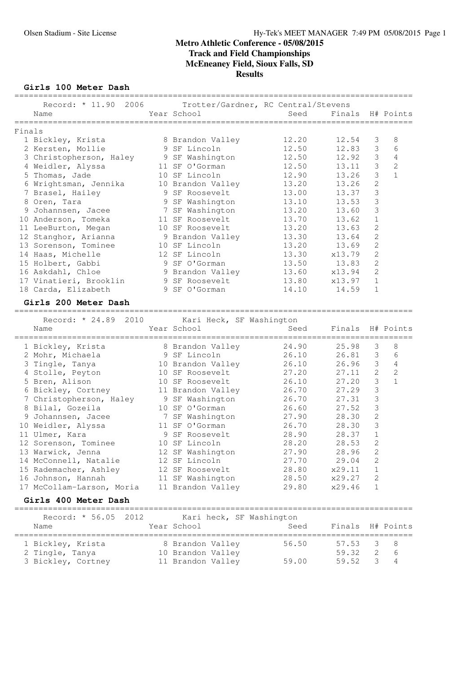**Girls 100 Meter Dash**

|        | Record: * 11.90 2006<br>Name                                                            | Trotter/Gardner, RC Central/Stevens<br>Year School                        | Seed                             | Finals                           |                                                | H# Points                                        |
|--------|-----------------------------------------------------------------------------------------|---------------------------------------------------------------------------|----------------------------------|----------------------------------|------------------------------------------------|--------------------------------------------------|
| Finals | 1 Bickley, Krista<br>2 Kersten, Mollie                                                  | 8 Brandon Valley<br>9 SF Lincoln                                          | 12.20<br>12.50                   | 12.54<br>12.83                   | 3<br>3                                         | 8<br>6                                           |
|        | 3 Christopherson, Haley<br>4 Weidler, Alyssa<br>5 Thomas, Jade                          | 9 SF Washington<br>11 SF O'Gorman<br>10 SF Lincoln                        | 12.50<br>12.50<br>12.90          | 12.92<br>13.11<br>13.26          | $\mathsf 3$<br>3<br>3                          | $\overline{4}$<br>$\mathbf{2}$<br>$\mathbf{1}$   |
|        | 6 Wrightsman, Jennika<br>7 Brasel, Hailey<br>8 Oren, Tara<br>9 Johannsen, Jacee         | 10 Brandon Valley<br>9 SF Roosevelt<br>9 SF Washington<br>7 SF Washington | 13.20<br>13.00<br>13.10<br>13.20 | 13.26<br>13.37<br>13.53<br>13.60 | 2<br>3<br>3<br>3                               |                                                  |
|        | 10 Anderson, Tomeka<br>11 LeeBurton, Megan<br>12 Stanghor, Arianna                      | 11 SF Roosevelt<br>10 SF Roosevelt<br>9 Brandon Valley                    | 13.70<br>13.20<br>13.30          | 13.62<br>13.63<br>13.64          | 1<br>$\mathbf{2}$<br>$\mathbf{2}$              |                                                  |
|        | 13 Sorenson, Tominee<br>14 Haas, Michelle<br>15 Holbert, Gabbi                          | 10 SF Lincoln<br>12 SF Lincoln<br>9 SF O'Gorman                           | 13.20<br>13.30<br>13.50          | 13.69<br>x13.79<br>13.83         | $\mathbf{2}$<br>$\mathbf{2}$<br>$\mathbf{2}$   |                                                  |
|        | 16 Askdahl, Chloe<br>17 Vinatieri, Brooklin<br>18 Carda, Elizabeth                      | 9 Brandon Valley<br>9 SF Roosevelt<br>9 SF O'Gorman                       | 13.60<br>13.80<br>14.10          | x13.94<br>x13.97<br>14.59        | $\overline{2}$<br>$\mathbf{1}$<br>$\mathbf{1}$ |                                                  |
|        | Girls 200 Meter Dash                                                                    |                                                                           |                                  |                                  |                                                |                                                  |
|        | Record: * 24.89 2010<br>Name                                                            | Kari Heck, SF Washington<br>Year School                                   | Seed                             | Finals                           |                                                | H# Points                                        |
|        | 1 Bickley, Krista<br>2 Mohr, Michaela                                                   | =========================<br>8 Brandon Valley<br>9 SF Lincoln             | =======<br>24.90<br>26.10        | 25.98<br>26.81                   | 3<br>3                                         | 8<br>6                                           |
|        | 3 Tingle, Tanya<br>4 Stolle, Peyton<br>5 Bren, Alison                                   | 10 Brandon Valley<br>10 SF Roosevelt<br>10 SF Roosevelt                   | 26.10<br>27.20<br>26.10          | 26.96<br>27.11<br>27.20          | $\mathsf 3$<br>$\overline{c}$<br>3             | $\overline{4}$<br>$\overline{c}$<br>$\mathbf{1}$ |
|        | 6 Bickley, Cortney<br>7 Christopherson, Haley<br>8 Bilal, Gozeila<br>9 Johannsen, Jacee | 11 Brandon Valley<br>9 SF Washington<br>10 SF O'Gorman<br>7 SF Washington | 26.70<br>26.70<br>26.60<br>27.90 | 27.29<br>27.31<br>27.52<br>28.30 | 3<br>3<br>3<br>$\overline{c}$                  |                                                  |
|        | 10 Weidler, Alyssa<br>11 Ulmer, Kara<br>12 Sorenson, Tominee                            | 11 SF O'Gorman<br>9 SF Roosevelt<br>10 SF Lincoln                         | 26.70<br>28.90<br>28.20          | 28.30<br>28.37<br>28.53          | 3<br>1<br>$\overline{2}$                       |                                                  |
|        | 13 Warwick, Jenna<br>14 McConnell, Natalie<br>15 Rademacher, Ashley                     | 12 SF Washington<br>12 SF Lincoln<br>12 SF Roosevelt                      | 27.90<br>27.70<br>28.80          | 28.96<br>29.04<br>x29.11         | $\sqrt{2}$<br>2<br>1                           |                                                  |
|        | 16 Johnson, Hannah<br>17 McCollam-Larson, Moria<br>Girls 400 Meter Dash                 | 11 SF Washington<br>11 Brandon Valley                                     | 28.50<br>29.80                   | x29.27<br>x29.46                 | 2<br>1                                         |                                                  |
|        | 2012<br>Record: * 56.05<br>Name                                                         | Kari heck, SF Washington<br>Year School                                   | Seed                             | Finals                           |                                                | H# Points                                        |

 1 Bickley, Krista 8 Brandon Valley 56.50 57.53 3 8 2 Tingle, Tanya 10 Brandon Valley 59.32 2 6 3 Bickley, Cortney 11 Brandon Valley 59.00 59.52 3 4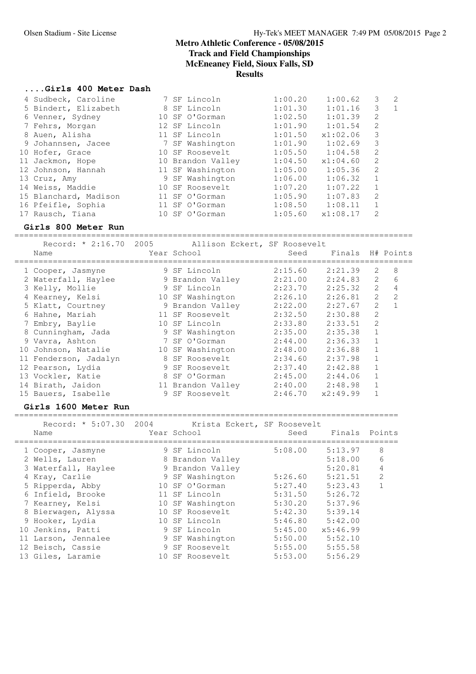## **....Girls 400 Meter Dash**

| 4 Sudbeck, Caroline   |  | 7 SF Lincoln      | 1:00.20 | 1:00.62  | 3              | $\overline{2}$ |
|-----------------------|--|-------------------|---------|----------|----------------|----------------|
| 5 Bindert, Elizabeth  |  | 8 SF Lincoln      | 1:01.30 | 1:01.16  | 3              | $\mathbf{1}$   |
| 6 Venner, Sydney      |  | 10 SF O'Gorman    | 1:02.50 | 1:01.39  | 2              |                |
| 7 Fehrs, Morgan       |  | 12 SF Lincoln     | 1:01.90 | 1:01.54  | $\mathfrak{L}$ |                |
| 8 Auen, Alisha        |  | 11 SF Lincoln     | 1:01.50 | x1:02.06 | 3              |                |
| 9 Johannsen, Jacee    |  | 7 SF Washington   | 1:01.90 | 1:02.69  | 3              |                |
| 10 Hofer, Grace       |  | 10 SF Roosevelt   | 1:05.50 | 1:04.58  | 2              |                |
| 11 Jackmon, Hope      |  | 10 Brandon Valley | 1:04.50 | x1:04.60 | 2              |                |
| 12 Johnson, Hannah    |  | 11 SF Washington  | 1:05.00 | 1:05.36  | $\mathcal{L}$  |                |
| 13 Cruz, Amy          |  | 9 SF Washington   | 1:06.00 | 1:06.32  |                |                |
| 14 Weiss, Maddie      |  | 10 SF Roosevelt   | 1:07.20 | 1:07.22  |                |                |
| 15 Blanchard, Madison |  | 11 SF O'Gorman    | 1:05.90 | 1:07.83  | 2              |                |
| 16 Pfeifle, Sophia    |  | 11 SF O'Gorman    | 1:08.50 | 1:08.11  |                |                |
| 17 Rausch, Tiana      |  | 10 SF O'Gorman    | 1:05.60 | x1:08.17 | $\mathcal{L}$  |                |

## **Girls 800 Meter Run**

|   | Name                  |   | Record: * 2:16.70 2005 Allison Eckert, SF Roosevelt<br>Year School | Seed    | Finals H# Points |                |   |
|---|-----------------------|---|--------------------------------------------------------------------|---------|------------------|----------------|---|
|   | 1 Cooper, Jasmyne     |   | 9 SF Lincoln                                                       | 2:15.60 | 2:21.39          | $\overline{2}$ | 8 |
|   | 2 Waterfall, Haylee   |   | 9 Brandon Valley                                                   | 2:21.00 | 2:24.83          | $\mathcal{L}$  | 6 |
|   | 3 Kelly, Mollie       |   | 9 SF Lincoln                                                       | 2:23.70 | 2:25.32          | $\mathcal{L}$  | 4 |
|   | 4 Kearney, Kelsi      |   | 10 SF Washington                                                   | 2:26.10 | 2:26.81          | $\mathcal{L}$  | 2 |
|   | 5 Klatt, Courtney     |   | 9 Brandon Valley                                                   | 2:22.00 | 2:27.67          | 2              |   |
|   | 6 Hahne, Mariah       |   | 11 SF Roosevelt                                                    | 2:32.50 | 2:30.88          | 2              |   |
| 7 | Embry, Baylie         |   | 10 SF Lincoln                                                      | 2:33.80 | 2:33.51          | $\mathfrak{D}$ |   |
|   | 8 Cunningham, Jada    |   | 9 SF Washington                                                    | 2:35.00 | 2:35.38          | $\mathbf{1}$   |   |
|   | 9 Vavra, Ashton       |   | 7 SF O'Gorman                                                      | 2:44.00 | 2:36.33          | $\mathbf 1$    |   |
|   | 10 Johnson, Natalie   |   | 10 SF Washington                                                   | 2:48.00 | 2:36.88          | $\mathbf{1}$   |   |
|   | 11 Fenderson, Jadalyn | 8 | SF Roosevelt                                                       | 2:34.60 | 2:37.98          | $\mathbf{1}$   |   |
|   | 12 Pearson, Lydia     | 9 | SF Roosevelt                                                       | 2:37.40 | 2:42.88          |                |   |
|   | 13 Vockler, Katie     | 8 | SF O'Gorman                                                        | 2:45.00 | 2:44.06          |                |   |
|   | 14 Birath, Jaidon     |   | 11 Brandon Valley                                                  | 2:40.00 | 2:48.98          |                |   |
|   | 15 Bauers, Isabelle   | 9 | SF Roosevelt                                                       | 2:46.70 | x2:49.99         |                |   |

### **Girls 1600 Meter Run**

================================================================================ Record: \* 5:07.30 2004 Krista Eckert, SF Roosevelt

| 1100010.<br><u>J.VI.JV</u><br>Name | ムマンコ | INLIUCU IUUNUILI, UI INUUJUVUIL<br>Year School | Seed    | Finals Points |                |
|------------------------------------|------|------------------------------------------------|---------|---------------|----------------|
| 1 Cooper, Jasmyne                  |      | 9 SF Lincoln                                   | 5:08.00 | 5:13.97       | 8              |
| 2 Wells, Lauren                    |      | 8 Brandon Valley                               |         | 5:18.00       | 6              |
| 3 Waterfall, Haylee                |      | 9 Brandon Valley                               |         | 5:20.81       | 4              |
| 4 Kray, Carlie                     |      | 9 SF Washington                                | 5:26.60 | 5:21.51       | $\overline{2}$ |
| 5 Ripperda, Abby                   |      | 10 SF O'Gorman                                 | 5:27.40 | 5:23.43       |                |
| 6 Infield, Brooke                  |      | 11 SF Lincoln                                  | 5:31.50 | 5:26.72       |                |
| 7 Kearney, Kelsi                   |      | 10 SF Washington                               | 5:30.20 | 5:37.96       |                |
| 8 Bierwagen, Alyssa                |      | 10 SF Roosevelt                                | 5:42.30 | 5:39.14       |                |
| 9 Hooker, Lydia                    |      | 10 SF Lincoln                                  | 5:46.80 | 5:42.00       |                |
| 10 Jenkins, Patti                  |      | 9 SF Lincoln                                   | 5:45.00 | x5:46.99      |                |
| 11 Larson, Jennalee                |      | 9 SF Washington                                | 5:50.00 | 5:52.10       |                |
| 12 Beisch, Cassie                  |      | 9 SF Roosevelt                                 | 5:55.00 | 5:55.58       |                |
| 13 Giles, Laramie                  |      | 10 SF Roosevelt                                | 5:53.00 | 5:56.29       |                |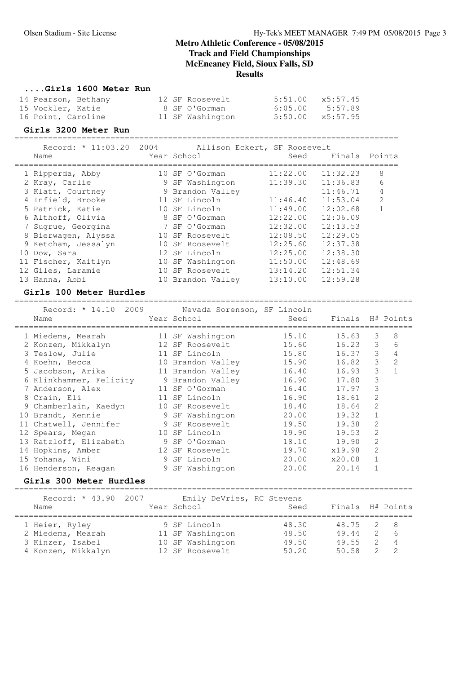## **....Girls 1600 Meter Run**

| 14 Pearson, Bethany |  | 12 SF Roosevelt  | 5:51.00 x5:57.45 |         |
|---------------------|--|------------------|------------------|---------|
| 15 Vockler, Katie   |  | 8 SF O'Gorman    | 6:05.00          | 5:57.89 |
| 16 Point, Caroline  |  | 11 SF Washington | 5:50.00 x5:57.95 |         |

## **Girls 3200 Meter Run**

================================================================================

|      | Record: * 11:03.20 2004 |             |  | Allison Eckert, SF Roosevelt |  |
|------|-------------------------|-------------|--|------------------------------|--|
| Name |                         | Year School |  | Seed Finals Points           |  |

| <b>IVAILLE</b>      | TEAT PONDAT       | nasa     | т тиатэ  | E UILLED       |
|---------------------|-------------------|----------|----------|----------------|
| 1 Ripperda, Abby    | 10 SF O'Gorman    | 11:22.00 | 11:32.23 | 8              |
| 2 Kray, Carlie      | 9 SF Washington   | 11:39.30 | 11:36.83 | 6              |
| 3 Klatt, Courtney   | 9 Brandon Valley  |          | 11:46.71 | 4              |
| 4 Infield, Brooke   | 11 SF Lincoln     | 11:46.40 | 11:53.04 | $\mathfrak{D}$ |
| 5 Patrick, Katie    | 10 SF Lincoln     | 11:49.00 | 12:02.68 |                |
| 6 Althoff, Olivia   | 8 SF O'Gorman     | 12:22.00 | 12:06.09 |                |
| 7 Sugrue, Georgina  | 7 SF O'Gorman     | 12:32.00 | 12:13.53 |                |
| 8 Bierwagen, Alyssa | 10 SF Roosevelt   | 12:08.50 | 12:29.05 |                |
| 9 Ketcham, Jessalyn | 10 SF Roosevelt   | 12:25.60 | 12:37.38 |                |
| 10 Dow, Sara        | 12 SF Lincoln     | 12:25.00 | 12:38.30 |                |
| 11 Fischer, Kaitlyn | 10 SF Washington  | 11:50.00 | 12:48.69 |                |
| 12 Giles, Laramie   | 10 SF Roosevelt   | 13:14.20 | 12:51.34 |                |
| 13 Hanna, Abbi      | 10 Brandon Valley | 13:10.00 | 12:59.28 |                |

### **Girls 100 Meter Hurdles**

| Record: * 14.10 2009 Nevada Sorenson, SF Lincoln |                                                                                                                                                                                                                                |              |                       |                |                |
|--------------------------------------------------|--------------------------------------------------------------------------------------------------------------------------------------------------------------------------------------------------------------------------------|--------------|-----------------------|----------------|----------------|
| Name                                             | Year School                                                                                                                                                                                                                    |              | Seed Finals H# Points |                |                |
|                                                  |                                                                                                                                                                                                                                |              |                       |                |                |
| 1 Miedema, Mearah 11 SF Washington               |                                                                                                                                                                                                                                | 15.10        | 15.63                 | 3              | 8              |
| 2 Konzem, Mikkalyn 12 SF Roosevelt               |                                                                                                                                                                                                                                | 15.60        | 16.23                 | 3              | 6              |
| 3 Teslow, Julie 11 SF Lincoln                    |                                                                                                                                                                                                                                | 15.80        | 16.37                 | 3              | 4              |
|                                                  |                                                                                                                                                                                                                                | 15.90        | 16.82                 | 3              | $\overline{2}$ |
|                                                  |                                                                                                                                                                                                                                | 16.40        | 16.93                 | 3              | $\mathbf{1}$   |
| 6 Klinkhammer, Felicity 9 Brandon Valley         |                                                                                                                                                                                                                                | 16.90        | 17.80                 | 3              |                |
| 7 Anderson, Alex                                 | 11 SF O'Gorman                                                                                                                                                                                                                 | 16.40        | 17.97                 | 3              |                |
| 8 Crain, Eli                                     | 11 SF Lincoln                                                                                                                                                                                                                  | 16.90        | 18.61                 | 2              |                |
| 9 Chamberlain, Kaedyn 10 SF Roosevelt            |                                                                                                                                                                                                                                | 18.40        | 18.64                 | $\mathfrak{D}$ |                |
| 10 Brandt, Kennie                                | 9 SF Washington                                                                                                                                                                                                                | 20.00        | 19.32                 | $\mathbf{1}$   |                |
| 11 Chatwell, Jennifer 9 SF Roosevelt             |                                                                                                                                                                                                                                | 19.50        | 19.38                 | 2              |                |
| 12 Spears, Megan                                 | 10 SF Lincoln                                                                                                                                                                                                                  | 19.90        | 19.53                 | 2              |                |
| 13 Ratzloff, Elizabeth 9 SF O'Gorman             |                                                                                                                                                                                                                                | 18.10        | 19.90                 | $\overline{2}$ |                |
| 14 Hopkins, Amber                                | 12 SF Roosevelt                                                                                                                                                                                                                | 19.70 x19.98 |                       | $\overline{2}$ |                |
| 15 Yohana, Wini                                  | and the Second Second Second Second Second Second Second Second Second Second Second Second Second Second Second Second Second Second Second Second Second Second Second Second Second Second Second Second Second Second Seco | 20.00        | x20.08                | $\mathbf{1}$   |                |
| 16 Henderson, Reagan                             | 9 SF Washington                                                                                                                                                                                                                | 20.00        | 20.14                 | $\mathbf{1}$   |                |
| Girls 300 Meter Hurdles                          |                                                                                                                                                                                                                                |              |                       |                |                |

| Record: * 43.90 2007<br>Name                                                  | Emily DeVries, RC Stevens<br>Year School                                | Seed                             | Finals H# Points                     |        |                                         |
|-------------------------------------------------------------------------------|-------------------------------------------------------------------------|----------------------------------|--------------------------------------|--------|-----------------------------------------|
| 1 Heier, Ryley<br>2 Miedema, Mearah<br>3 Kinzer, Isabel<br>4 Konzem, Mikkalyn | 9 SF Lincoln<br>11 SF Washington<br>10 SF Washington<br>12 SF Roosevelt | 48.30<br>48.50<br>49.50<br>50.20 | 48.75 2 8<br>49.44<br>49.55<br>50.58 | 2<br>2 | - 6<br>$\overline{4}$<br>$\overline{2}$ |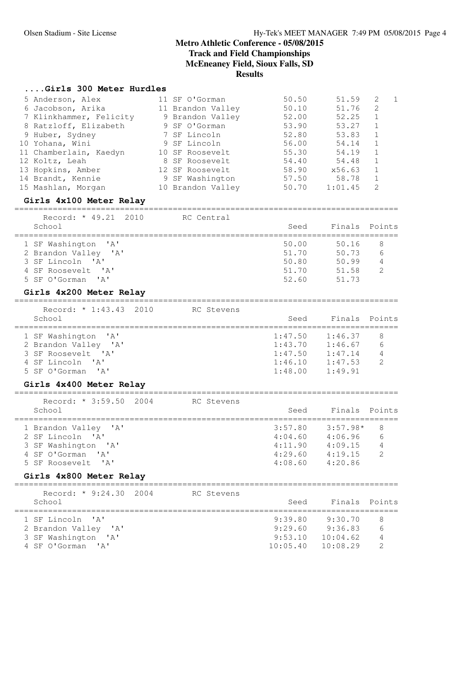## **....Girls 300 Meter Hurdles**

| 5 Anderson, Alex        | 11 SF O'Gorman    | 50.50 | 51.59   | -2. |  |
|-------------------------|-------------------|-------|---------|-----|--|
| 6 Jacobson, Arika       | 11 Brandon Valley | 50.10 | 51.76   | -2  |  |
| 7 Klinkhammer, Felicity | 9 Brandon Valley  | 52.00 | 52.25   |     |  |
| 8 Ratzloff, Elizabeth   | 9 SF O'Gorman     | 53.90 | 53.27   |     |  |
| 9 Huber, Sydney         | 7 SF Lincoln      | 52.80 | 53.83   |     |  |
| 10 Yohana, Wini         | 9 SF Lincoln      | 56.00 | 54.14   |     |  |
| 11 Chamberlain, Kaedyn  | 10 SF Roosevelt   | 55.30 | 54.19   |     |  |
| 12 Koltz, Leah          | 8 SF Roosevelt    | 54.40 | 54.48   |     |  |
| 13 Hopkins, Amber       | 12 SF Roosevelt   | 58.90 | x56.63  |     |  |
| 14 Brandt, Kennie       | 9 SF Washington   | 57.50 | 58.78   |     |  |
| 15 Mashlan, Morgan      | 10 Brandon Valley | 50.70 | 1:01.45 | 2   |  |

## **Girls 4x100 Meter Relay**

| Record: * 49.21 2010<br>School                                                                              | RC Central | Seed                                      | Finals Points                             |                                            |
|-------------------------------------------------------------------------------------------------------------|------------|-------------------------------------------|-------------------------------------------|--------------------------------------------|
| 1 SF Washington 'A'<br>2 Brandon Valley 'A'<br>3 SF Lincoln 'A'<br>4 SF Roosevelt. 'A'<br>5 SF O'Gorman 'A' |            | 50.00<br>51.70<br>50.80<br>51.70<br>52.60 | 50.16<br>50.73<br>50.99<br>51.58<br>51.73 | 8<br>$6\overline{6}$<br>4<br>$\mathcal{D}$ |
|                                                                                                             |            |                                           |                                           |                                            |

### **Girls 4x200 Meter Relay** ================================================================================

| Record: $* 1:43.43 2010$<br>School                                                     | RC Stevens | Seed                                     | Finals Points                            |                                            |
|----------------------------------------------------------------------------------------|------------|------------------------------------------|------------------------------------------|--------------------------------------------|
| 1 SF Washington 'A'<br>2 Brandon Valley 'A'<br>3 SF Roosevelt. 'A'<br>4 SF Lincoln 'A' |            | 1:47.50<br>1:43.70<br>1:47.50<br>1:46.10 | 1:46.37<br>1:46.67<br>1:47.14<br>1:47.53 | 8<br>$6\overline{6}$<br>4<br>$\mathcal{D}$ |
| 5 SF O'Gorman 'A'                                                                      |            | 1:48.00                                  | 1:49.91                                  |                                            |

## **Girls 4x400 Meter Relay**

| Record: $* 3:59.50 2004$<br>School                                                                          | RC Stevens | Seed                                                | Finals Points                                          |                                           |
|-------------------------------------------------------------------------------------------------------------|------------|-----------------------------------------------------|--------------------------------------------------------|-------------------------------------------|
| 1 Brandon Valley 'A'<br>2 SF Lincoln 'A'<br>3 SF Washington 'A'<br>4 SF O'Gorman 'A'<br>5 SF Roosevelt. 'A' |            | 3:57.80<br>4:04.60<br>4:11.90<br>4:29.60<br>4:08.60 | $3:57.98*$<br>4:06.96<br>4:09.15<br>4:19.15<br>4:20.86 | 8<br>6<br>$\overline{4}$<br>$\mathcal{L}$ |
| Girls 4x800 Meter Relay                                                                                     |            |                                                     |                                                        |                                           |

| Seed               |                      |                           |
|--------------------|----------------------|---------------------------|
| 9:39.80<br>9:29.60 | 9:30.70<br>9:36.83   | 8<br>6                    |
| 9:53.10            | 10:04.62<br>10:08.29 | 4                         |
|                    |                      | Finals Points<br>10:05.40 |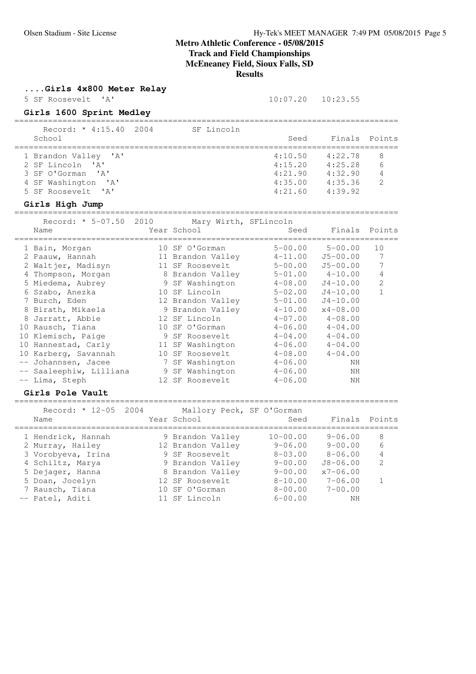**....Girls 4x800 Meter Relay**

5 SF Roosevelt 'A' 10:07.20 10:23.55

================================================================================

## **Girls 1600 Sprint Medley**

| Record: * 4:15.40 2004        | SF Lincoln |         |               |   |
|-------------------------------|------------|---------|---------------|---|
| School                        |            | Seed    | Finals Points |   |
| 1 Brandon Valley 'A'          |            | 4:10.50 | 4:22.78       | 8 |
| 2 SF Lincoln 'A'              |            | 4:15.20 | 4:25.28       | 6 |
| 3 SF O'Gorman 'A'             |            | 4:21.90 | 4:32.90       | 4 |
| 4 SF Washington 'A'           |            | 4:35.00 | 4:35.36       | 2 |
| 5 SF Roosevelt. 'A'           |            | 4:21.60 | 4:39.92       |   |
| $C_{1}$ win $U_{1}$ ob Issues |            |         |               |   |

### **Girls High Jump**

================================================================================ Record: \* 5-07.50 2010 Mary Wirth, SFLincoln

| Name                    | Year School       | Seed        | Finals Points           |             |
|-------------------------|-------------------|-------------|-------------------------|-------------|
| 1 Bain, Morgan          | 10 SF O'Gorman    |             | $5 - 00.00$ $5 - 00.00$ | 10          |
| 2 Paauw, Hannah         | 11 Brandon Valley | $4 - 11.00$ | $J5 - 00.00$            | 7           |
| 2 Waltjer, Madisyn      | 11 SF Roosevelt   | $5 - 00.00$ | $J5 - 00.00$            |             |
| 4 Thompson, Morgan      | 8 Brandon Valley  |             | $5 - 01.00$ $4 - 10.00$ | 4           |
| 5 Miedema, Aubrey       | 9 SF Washington   | $4 - 08.00$ | $J4 - 10.00$            | 2           |
| 6 Szabo, Anezka         | 10 SF Lincoln     | $5 - 02.00$ | $J4 - 10.00$            | $\mathbf 1$ |
| 7 Burch, Eden           | 12 Brandon Valley | $5 - 01.00$ | $J4 - 10.00$            |             |
| 8 Birath, Mikaela       | 9 Brandon Valley  | $4 - 10.00$ | $x4 - 08.00$            |             |
| 8 Jarratt, Abbie        | 12 SF Lincoln     | $4 - 07.00$ | $4 - 08.00$             |             |
| 10 Rausch, Tiana        | 10 SF O'Gorman    | $4 - 06.00$ | $4 - 04.00$             |             |
| 10 Klemisch, Paige      | 9 SF Roosevelt    | $4 - 04.00$ | $4 - 04.00$             |             |
| 10 Hannestad, Carly     | 11 SF Washington  | $4 - 06.00$ | $4 - 04.00$             |             |
| 10 Karberg, Savannah    | 10 SF Roosevelt   | $4 - 08.00$ | $4 - 04.00$             |             |
| -- Johannsen, Jacee     | 7 SF Washington   | $4 - 06.00$ | ΝH                      |             |
| -- Saaleephiw, Lilliana | 9 SF Washington   | $4 - 06.00$ | ΝH                      |             |
| -- Lima, Steph          | 12 SF Roosevelt   | $4 - 06.00$ | NH                      |             |

#### **Girls Pole Vault**

| Record: * 12-05 2004<br>Name | Mallory Peck, SF O'Gorman<br>Year School | Seed           | Finals Points |                |
|------------------------------|------------------------------------------|----------------|---------------|----------------|
| 1 Hendrick, Hannah           | 9 Brandon Valley                         | $10 - 00.00$   | $9 - 06.00$   | 8              |
| 2 Murray, Hailey             | 12 Brandon Valley                        | $9 - 06.00$    | $9 - 00.00$   | 6              |
| 3 Vorobyeva, Irina           | 9 SF Roosevelt                           | $8 - 0.3$ , 00 | $8 - 06.00$   | 4              |
| 4 Schiltz, Marya             | 9 Brandon Valley                         | $9 - 00.00$    | $J8 - 06.00$  | $\mathfrak{D}$ |
| 5 Dejager, Hanna             | 8 Brandon Valley                         | $9 - 00.00$    | $x7 - 06.00$  |                |
| 5 Doan, Jocelyn              | 12 SF Roosevelt                          | $8 - 10.00$    | $7 - 06.00$   |                |
| 7 Rausch, Tiana              | 10 SF O'Gorman                           | $8 - 00.00$    | $7 - 00.00$   |                |
| -- Patel, Aditi              | 11 SF Lincoln                            | $6 - 00.00$    | NH            |                |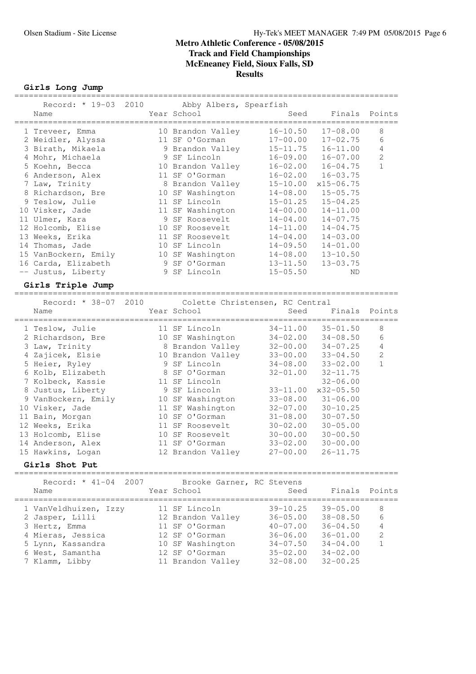**Girls Long Jump**

| Record: * 19-03 2010 Abby Albers, Spearfish |    |                   |              |               |                |
|---------------------------------------------|----|-------------------|--------------|---------------|----------------|
| Name                                        |    | Year School       | Seed         | Finals Points |                |
| 1 Treveer, Emma                             |    | 10 Brandon Valley | $16 - 10.50$ | $17 - 08.00$  | 8              |
| 2 Weidler, Alyssa                           |    | 11 SF O'Gorman    | $17 - 00.00$ | $17 - 02.75$  | 6              |
| 3 Birath, Mikaela                           |    | 9 Brandon Valley  | $15 - 11.75$ | $16 - 11.00$  | 4              |
| 4 Mohr, Michaela                            |    | 9 SF Lincoln      | $16 - 09.00$ | $16 - 07.00$  | $\overline{2}$ |
| 5 Koehn, Becca                              |    | 10 Brandon Valley | $16 - 02.00$ | $16 - 04.75$  | 1              |
| 6 Anderson, Alex                            |    | 11 SF O'Gorman    | $16 - 02.00$ | $16 - 03.75$  |                |
| 7 Law, Trinity                              |    | 8 Brandon Valley  | $15 - 10.00$ | $x15 - 06.75$ |                |
| 8 Richardson, Bre                           |    | 10 SF Washington  | $14 - 08.00$ | $15 - 05.75$  |                |
| 9 Teslow, Julie                             |    | 11 SF Lincoln     | $15 - 01.25$ | $15 - 04.25$  |                |
| 10 Visker, Jade                             |    | 11 SF Washington  | $14 - 00.00$ | $14 - 11.00$  |                |
| 11 Ulmer, Kara                              |    | 9 SF Roosevelt    | $14 - 04.00$ | $14 - 07.75$  |                |
| 12 Holcomb, Elise                           |    | 10 SF Roosevelt   | $14 - 11.00$ | $14 - 04.75$  |                |
| 13 Weeks, Erika                             |    | 11 SF Roosevelt   | $14 - 04.00$ | $14 - 03.00$  |                |
| 14 Thomas, Jade                             | 10 | SF Lincoln        | $14 - 09.50$ | $14 - 01.00$  |                |
| 15 VanBockern, Emily                        |    | 10 SF Washington  | $14 - 08.00$ | $13 - 10.50$  |                |
| 16 Carda, Elizabeth                         |    | 9 SF O'Gorman     | $13 - 11.50$ | $13 - 03.75$  |                |
| -- Justus, Liberty                          |    | 9 SF Lincoln      | $15 - 05.50$ | ND            |                |
|                                             |    |                   |              |               |                |

## **Girls Triple Jump**

================================================================================ Record: \* 38-07 2010 Colette Christensen, RC Central Name Year School Seed Finals Points ================================================================================ 1 Teslow, Julie 11 SF Lincoln 34-11.00 35-01.50 8 2 Richardson, Bre 10 SF Washington 34-02.00 34-08.50 6 3 Law, Trinity 8 Brandon Valley 32-00.00 34-07.25 4 4 Zajicek, Elsie 10 Brandon Valley 33-00.00 33-04.50 2 5 Heier, Ryley 9 SF Lincoln 34-08.00 33-02.00 1 6 Kolb, Elizabeth 8 SF O'Gorman 32-01.00 32-11.75 7 Kolbeck, Kassie 11 SF Lincoln 32-06.00 8 Justus, Liberty 9 SF Lincoln 33-11.00 x32-05.50 9 VanBockern, Emily 10 SF Washington 33-08.00 31-06.00 10 Visker, Jade 11 SF Washington 32-07.00 30-10.25 11 Bain, Morgan 10 SF O'Gorman 31-08.00 30-07.50 12 Weeks, Erika 11 SF Roosevelt 30-02.00 30-05.00 13 Holcomb, Elise 10 SF Roosevelt 30-00.00 30-00.50 14 Anderson, Alex 11 SF O'Gorman 33-02.00 30-00.00 15 Hawkins, Logan 12 Brandon Valley 27-00.00 26-11.75

#### **Girls Shot Put**

================================================================================  $R = \frac{1}{2}$   $\frac{1}{2}$   $\frac{1}{2}$   $\frac{1}{2}$   $\frac{1}{2}$   $\frac{1}{2}$   $\frac{1}{2}$   $\frac{1}{2}$   $\frac{1}{2}$   $\frac{1}{2}$   $\frac{1}{2}$   $\frac{1}{2}$   $\frac{1}{2}$   $\frac{1}{2}$   $\frac{1}{2}$   $\frac{1}{2}$   $\frac{1}{2}$   $\frac{1}{2}$   $\frac{1}{2}$   $\frac{1}{2}$   $\frac{1}{2}$   $\frac{1}{2}$ 

| Record: * 41-04 2007<br>Name                                                                        | Brooke Garner, RC Stevens<br>Year School                                                   | Seed                                                                         | Finals Points                                                                |                        |
|-----------------------------------------------------------------------------------------------------|--------------------------------------------------------------------------------------------|------------------------------------------------------------------------------|------------------------------------------------------------------------------|------------------------|
| 1 VanVeldhuizen, Izzy<br>2 Jasper, Lilli<br>3 Hertz, Emma<br>4 Mieras, Jessica<br>5 Lynn, Kassandra | 11 SF Lincoln<br>12 Brandon Valley<br>11 SF O'Gorman<br>12 SF O'Gorman<br>10 SF Washington | $39 - 10.25$<br>$36 - 05.00$<br>$40 - 07.00$<br>$36 - 06.00$<br>$34 - 07.50$ | $39 - 05.00$<br>$38 - 08.50$<br>$36 - 04.50$<br>$36 - 01.00$<br>$34 - 04.00$ | 8<br>6<br>4<br>2<br>-1 |
| 6 West, Samantha<br>7 Klamm, Libby                                                                  | 12 SF O'Gorman<br>11 Brandon Valley                                                        | $35 - 02.00$<br>$32 - 08.00$                                                 | $34 - 02.00$<br>$32 - 00.25$                                                 |                        |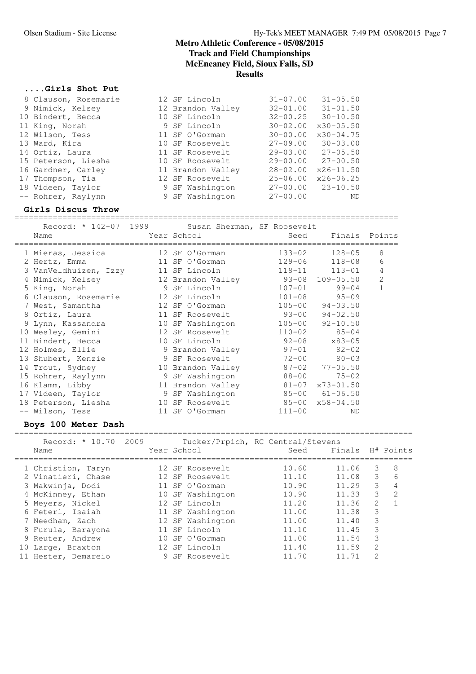## **....Girls Shot Put**

| 8 Clauson, Rosemarie | 12 SF Lincoln     | $31 - 07.00$<br>$31 - 05.50$  |
|----------------------|-------------------|-------------------------------|
| 9 Nimick, Kelsey     | 12 Brandon Valley | $31 - 01.50$<br>$32 - 01.00$  |
| 10 Bindert, Becca    | 10 SF Lincoln     | $32 - 00.25$<br>$30 - 10.50$  |
| 11 King, Norah       | 9 SF Lincoln      | $x30 - 05.50$<br>$30 - 02.00$ |
| 12 Wilson, Tess      | 11 SF O'Gorman    | $x30 - 04.75$<br>$30 - 00.00$ |
| 13 Ward, Kira        | 10 SF Roosevelt   | $30 - 03.00$<br>$27 - 09.00$  |
| 14 Ortiz, Laura      | 11 SF Roosevelt   | 29-03.00<br>$27 - 05.50$      |
| 15 Peterson, Liesha  | 10 SF Roosevelt   | $29 - 00.00$<br>$27 - 00.50$  |
| 16 Gardner, Carley   | 11 Brandon Valley | $28 - 02.00$<br>$x26 - 11.50$ |
| 17 Thompson, Tia     | 12 SF Roosevelt   | $x26 - 06.25$<br>$25 - 06.00$ |
| 18 Videen, Taylor    | 9 SF Washington   | $27 - 00.00$ $23 - 10.50$     |
| -- Rohrer, Raylynn   | 9 SF Washington   | $27 - 00.00$<br>ND            |

### **Girls Discus Throw**

================================================================================

| Record: * 142-07 1999<br>Name      | Susan Sherman, SF Roosevelt<br>Year School and the School and the School and the School and the School and the School | Seed                    | Finals Points           |                |
|------------------------------------|-----------------------------------------------------------------------------------------------------------------------|-------------------------|-------------------------|----------------|
| 1 Mieras, Jessica                  | 12 SF O'Gorman                                                                                                        | $133 - 02$              | $128 - 05$              | 8              |
| 2 Hertz, Emma                      | 11 SF O'Gorman                                                                                                        | 129-06                  | $118 - 08$              | 6              |
| 3 VanVeldhuizen, Izzy              | 11 SF Lincoln                                                                                                         | $118 - 11$              | $113 - 01$              | $\overline{4}$ |
| 4 Nimick, Kelsey                   | 12 Brandon Valley                 93-08   109-05.50                                                                   |                         |                         | 2              |
| 5 King, Norah                      | 9 SF Lincoln                                                                                                          | $107 - 01$              | 99-04                   | $\mathbf{1}$   |
| 6 Clauson, Rosemarie 12 SF Lincoln |                                                                                                                       | $101 - 08$              | $95 - 09$               |                |
| 7 West, Samantha                   | 12 SF O'Gorman                                                                                                        |                         | $105 - 00$ $94 - 03.50$ |                |
| 8 Ortiz, Laura                     | 11 SF Roosevelt                                                                                                       | $93 - 00$               | $94 - 02.50$            |                |
| 9 Lynn, Kassandra                  | 10 SF Washington                                                                                                      | $105 - 00$              | $92 - 10.50$            |                |
| 10 Wesley, Gemini                  | 12 SF Roosevelt                                                                                                       | $110 - 02$              | $85 - 04$               |                |
| 11 Bindert, Becca                  | 10 SF Lincoln                                                                                                         | $92 - 08$               | x83-05                  |                |
| 12 Holmes, Ellie                   | 9 Brandon Valley                                                                                                      | $97 - 01$               | $82 - 02$               |                |
| 13 Shubert, Kenzie                 | 9 SF Roosevelt                                                                                                        | $72 - 00$               | $80 - 03$               |                |
| 14 Trout, Sydney                   | 10 Brandon Valley                                                                                                     |                         | $87 - 02$ $77 - 05.50$  |                |
| 15 Rohrer, Raylynn                 | 9 SF Washington                                                                                                       | 88-00                   | $75 - 02$               |                |
| 16 Klamm, Libby                    | 11 Brandon Valley                                                                                                     |                         | $81 - 07$ $x73 - 01.50$ |                |
| 17 Videen, Taylor                  | 9 SF Washington                                                                                                       |                         | $85 - 00$ $61 - 06.50$  |                |
| 18 Peterson, Liesha                | 10 SF Roosevelt                                                                                                       | $85-00 \times 58-04.50$ |                         |                |
| -- Wilson, Tess                    | 11 SF O'Gorman                                                                                                        | $111 - 00$              | ND                      |                |

## **Boys 100 Meter Dash**

| Record: * 10.70<br>Name | 2009 | Year School   |                  | Tucker/Prpich, RC Central/Stevens<br>Seed | Finals H# Points |                |               |
|-------------------------|------|---------------|------------------|-------------------------------------------|------------------|----------------|---------------|
| 1 Christion, Taryn      |      |               | 12 SF Roosevelt  | 10.60                                     | 11.06            | 3.             | 8             |
| 2 Vinatieri, Chase      |      |               | 12 SF Roosevelt  | 11.10                                     | 11.08            | 3              | 6             |
| 3 Makwinja, Dodi        |      |               | 11 SF O'Gorman   | 10.90                                     | 11.29            | 3              | 4             |
| 4 McKinney, Ethan       |      |               | 10 SF Washington | 10.90                                     | 11.33            | 3              | $\mathcal{L}$ |
| 5 Meyers, Nickel        |      | 12 SF Lincoln |                  | 11.20                                     | 11.36            | $\overline{2}$ |               |
| 6 Feterl, Isaiah        |      |               | 11 SF Washington | 11.00                                     | 11.38            | 3              |               |
| 7 Needham, Zach         |      |               | 12 SF Washington | 11.00                                     | 11.40            | 3              |               |
| 8 Furula, Barayona      |      | 11 SF Lincoln |                  | 11.10                                     | 11.45            | 3              |               |
| 9 Reuter, Andrew        |      |               | 10 SF O'Gorman   | 11.00                                     | 11.54            | 3              |               |
| 10 Large, Braxton       |      | 12 SF Lincoln |                  | 11.40                                     | 11.59            | $\mathfrak{D}$ |               |
| 11 Hester, Demareio     |      |               | 9 SF Roosevelt   | 11.70                                     |                  | $\mathfrak{D}$ |               |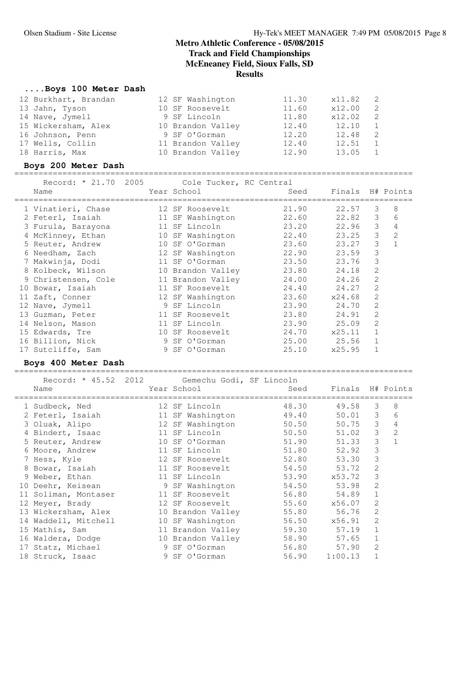### **....Boys 100 Meter Dash**

| 12 Burkhart, Brandan | 12 SF Washington  | 11.30 | x11.82 |     |
|----------------------|-------------------|-------|--------|-----|
| 13 Jahn, Tyson       | 10 SF Roosevelt   | 11.60 | x12.00 | -2. |
| 14 Nave, Jymell      | 9 SF Lincoln      | 11.80 | x12.02 | 2   |
| 15 Wickersham, Alex  | 10 Brandon Valley | 12.40 | 12.10  |     |
| 16 Johnson, Penn     | 9 SF O'Gorman     | 12.20 | 12.48  | 2   |
| 17 Wells, Collin     | 11 Brandon Valley | 12.40 | 12.51  |     |
| 18 Harris, Max       | 10 Brandon Valley | 12.90 | 13.05  |     |

#### **Boys 200 Meter Dash**

=================================================================================== Record: \* 21.70 2005 Cole Tucker, RC Central

| Record: " 41.70" 2000<br>Name         | COTE INCREI, RU CENTIST<br>Year School | Seed        | Finals H# Points |                |              |
|---------------------------------------|----------------------------------------|-------------|------------------|----------------|--------------|
| 1 Vinatieri, Chase                    | 12 SF Roosevelt                        | 21.90       | 22.57            | 3              | 8            |
| 2 Feterl, Isaiah                      | 11 SF Washington                       | 22.60       | 22.82            | 3 <sup>7</sup> | 6            |
| 3 Furula, Barayona                    | 11 SF Lincoln                          | 23.20       | 22.96            | 3              | 4            |
| 4 McKinney, Ethan 10 SF Washington    |                                        | 22.40       | 23.25            | $\mathcal{S}$  | 2            |
| 5 Reuter, Andrew                      | 10 SF O'Gorman                         | 23.60       | 23.27            | $\mathcal{S}$  | $\mathbf{1}$ |
| 6 Needham, Zach and 12 SF Washington  |                                        | 22.90       | 23.59            | 3              |              |
| 7 Makwinja, Dodi                      | 11 SF O'Gorman                         | 23.50       | 23.76            | 3              |              |
| 8 Kolbeck, Wilson                     | 10 Brandon Valley                      | 23.80       | 24.18            | 2              |              |
| 9 Christensen, Cole 11 Brandon Valley |                                        | 24.00       | 24.26            | 2              |              |
| 10 Bowar, Isaiah                      | 11 SF Roosevelt                        | 24.40       | 24.27            | 2              |              |
| 11 Zaft, Conner                       | 12 SF Washington                       | 23.60       | x24.68           | 2              |              |
| 12 Nave, Jymell                       | 9 SF Lincoln                           | 23.90       | 24.70            | 2              |              |
| 13 Guzman, Peter                      | 11 SF Roosevelt                        | 23.80       | 24.91            | 2              |              |
| 14 Nelson, Mason                      | 11 SF Lincoln                          | 23.90       | 25.09            | 2              |              |
| 15 Edwards, Tre                       | 10 SF Roosevelt                        | 24.70       | x25.11           | $\mathbf{1}$   |              |
| 16 Billion, Nick                      | 9 SF O'Gorman                          | 25.00 25.56 |                  | $\mathbf{1}$   |              |
| 17 Sutcliffe, Sam                     | 9 SF O'Gorman                          | 25.10       | x25.95           | $\mathbf 1$    |              |

#### **Boys 400 Meter Dash**

Record: \* 45.52 2012 Gemechu Godi, SF Lincoln<br>Name Seed Year School Seed Name The Year School Seed Finals H# Points =================================================================================== 1 Sudbeck, Ned 12 SF Lincoln 48.30 49.58 3 8 2 Feterl, Isaiah 11 SF Washington 49.40 50.01 3 6 3 Oluak, Alipo 12 SF Washington 50.50 50.75 3 4 4 Bindert, Isaac 11 SF Lincoln 50.50 51.02 3 2 5 Reuter, Andrew 10 SF O'Gorman 51.90 51.33 3 1 6 Moore, Andrew 11 SF Lincoln 51.80 52.92 3 7 Hess, Kyle 12 SF Roosevelt 52.80 53.30 3 8 Bowar, Isaiah 11 SF Roosevelt 54.50 53.72 2 9 Weber, Ethan 11 SF Lincoln 53.90 x53.72 3 10 Deehr, Keisean 9 SF Washington 54.50 53.98 2 11 Soliman, Montaser 11 SF Roosevelt 56.80 54.89 1 12 Meyer, Brady 12 SF Roosevelt 55.60 x56.07 2 13 Wickersham, Alex 10 Brandon Valley 55.80 56.76 2 14 Waddell, Mitchell 10 SF Washington 56.50 x56.91 2 15 Mathis, Sam 11 Brandon Valley 59.30 57.19 1 16 Waldera, Dodge 10 Brandon Valley 58.90 57.65 1 17 Statz, Michael 9 SF O'Gorman 56.80 57.90 2 18 Struck, Isaac 9 SF O'Gorman 56.90 1:00.13 1

===================================================================================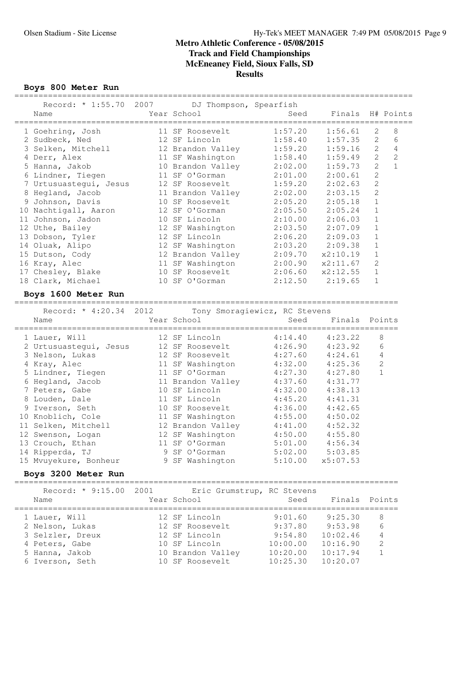**Boys 800 Meter Run**

| Record: * 1:55.70 2007 DJ Thompson, Spearfish<br>Name | Year School              | Seed    | Finals H# Points |                |                |
|-------------------------------------------------------|--------------------------|---------|------------------|----------------|----------------|
| 1 Goehring, Josh                                      | 11 SF Roosevelt          | 1:57.20 | 1:56.61          | 2              | 8              |
| 2 Sudbeck, Ned                                        | 12 SF Lincoln            | 1:58.40 | 1:57.35          | $\mathcal{L}$  | 6              |
| 3 Selken, Mitchell                                    | 12 Brandon Valley        | 1:59.20 | 1:59.16          | $\mathfrak{L}$ | 4              |
| 4 Derr, Alex                                          | 11 SF Washington 1:58.40 |         | 1:59.49          | $\overline{2}$ | $\mathfrak{D}$ |
| 5 Hanna, Jakob                                        | 10 Brandon Valley        | 2:02.00 | 1:59.73          | $\mathfrak{L}$ | $\mathbf{1}$   |
| 6 Lindner, Tiegen                                     | 11 SF O'Gorman           | 2:01.00 | 2:00.61          | $\mathfrak{D}$ |                |
| 7 Urtusuastequi, Jesus                                | 12 SF Roosevelt          | 1:59.20 | 2:02.63          | $\overline{2}$ |                |
| 8 Hegland, Jacob                                      | 11 Brandon Valley        | 2:02.00 | 2:03.15          | $\mathfrak{D}$ |                |
| Johnson, Davis<br>9                                   | 10 SF Roosevelt          | 2:05.20 | 2:05.18          | $\mathbf{1}$   |                |
| 10 Nachtigall, Aaron                                  | 12 SF O'Gorman           | 2:05.50 | 2:05.24          | $\mathbf 1$    |                |
| Johnson, Jadon<br>11                                  | 10 SF Lincoln            | 2:10.00 | 2:06.03          | $\mathbf{1}$   |                |
| 12 Uthe, Bailey                                       | 12 SF Washington         | 2:03.50 | 2:07.09          | $\mathbf{1}$   |                |
| 13 Dobson, Tyler                                      | 12 SF Lincoln            | 2:06.20 | 2:09.03          | $\mathbf 1$    |                |
| 14 Oluak, Alipo                                       | 12 SF Washington         | 2:03.20 | 2:09.38          | $\mathbf{1}$   |                |
| 15 Dutson, Cody                                       | 12 Brandon Valley        | 2:09.70 | x2:10.19         | $\mathbf{1}$   |                |
| 16 Kray, Alec                                         | 11 SF Washington         | 2:00.90 | x2:11.67         | $\mathfrak{D}$ |                |
| 17 Chesley, Blake                                     | 10 SF Roosevelt          | 2:06.60 | x2:12.55         | $\mathbf{1}$   |                |
| 18 Clark, Michael                                     | 10 SF<br>O'Gorman        | 2:12.50 | 2:19.65          | 1              |                |
|                                                       |                          |         |                  |                |                |

## **Boys 1600 Meter Run**

 Record: \* 4:20.34 2012 Tony Smoragiewicz, RC Stevens Name The Year School Contract Seed Finals Points ================================================================================ 1 Lauer, Will 12 SF Lincoln 4:14.40 4:23.22 8 2 Urtusuastegui, Jesus 12 SF Roosevelt 4:26.90 4:23.92 6 3 Nelson, Lukas 12 SF Roosevelt 4:27.60 4:24.61 4 4 Kray, Alec 11 SF Washington 4:32.00 4:25.36 2 5 Lindner, Tiegen 11 SF O'Gorman 4:27.30 4:27.80 1 6 Hegland, Jacob 11 Brandon Valley 4:37.60 4:31.77 7 Peters, Gabe 10 SF Lincoln 4:32.00 4:38.13 8 Louden, Dale 11 SF Lincoln 4:45.20 4:41.31 9 Iverson, Seth 10 SF Roosevelt 4:36.00 4:42.65 10 Knoblich, Cole 11 SF Washington 4:55.00 4:50.02 11 Selken, Mitchell 12 Brandon Valley 4:41.00 4:52.32 12 Swenson, Logan 12 SF Washington 4:50.00 4:55.80 13 Crouch, Ethan 11 SF O'Gorman 5:01.00 4:56.34 14 Ripperda, TJ 9 SF O'Gorman 5:02.00 5:03.85 15 Mvuyekure, Bonheur 9 SF Washington 5:10.00 x5:07.53

================================================================================

#### **Boys 3200 Meter Run**

================================================================================ Record: \* 9:15.00 2001 Eric Grumstrup, RC Stevens

| Name             | NECOLU. 2.19.00 ZOUI LILLO GIUMSCIUP, NO SCEVENS<br>Year School | Seed     | Finals Points |                |
|------------------|-----------------------------------------------------------------|----------|---------------|----------------|
| 1 Lauer, Will    | 12 SF Lincoln                                                   | 9:01.60  | 9:25.30       | 8              |
| 2 Nelson, Lukas  | 12 SF Roosevelt                                                 | 9:37.80  | 9:53.98       | 6              |
| 3 Selzler, Dreux | 12 SF Lincoln                                                   | 9:54.80  | 10:02.46      | $\overline{4}$ |
| 4 Peters, Gabe   | 10 SF Lincoln                                                   | 10:00.00 | 10:16.90      | 2              |
| 5 Hanna, Jakob   | 10 Brandon Valley                                               | 10:20.00 | 10:17.94      | $\mathbf{1}$   |
| 6 Iverson, Seth  | 10 SF Roosevelt                                                 | 10:25.30 | 10:20.07      |                |
|                  |                                                                 |          |               |                |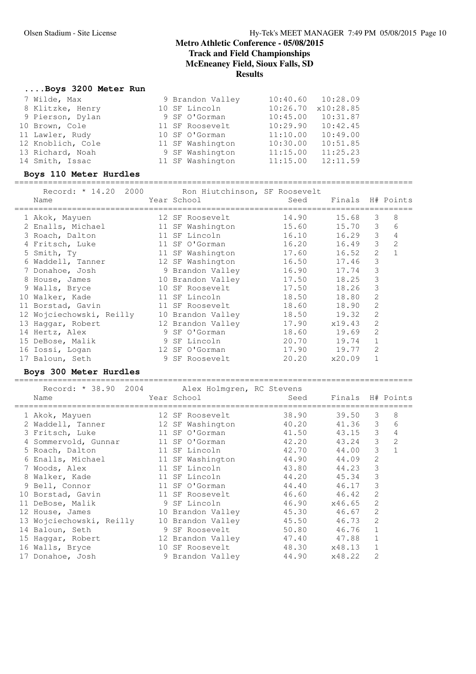## **....Boys 3200 Meter Run**

| 7 Wilde, Max      | 9 Brandon Valley |          | $10:40.60$ $10:28.09$ |
|-------------------|------------------|----------|-----------------------|
| 8 Klitzke, Henry  | 10 SF Lincoln    | 10:26.70 | x10:28.85             |
| 9 Pierson, Dylan  | 9 SF O'Gorman    | 10:45.00 | 10:31.87              |
| 10 Brown, Cole    | 11 SF Roosevelt  | 10:29.90 | 10:42.45              |
| 11 Lawler, Rudy   | 10 SF O'Gorman   | 11:10.00 | 10:49.00              |
| 12 Knoblich, Cole | 11 SF Washington | 10:30.00 | 10:51.85              |
| 13 Richard, Noah  | 9 SF Washington  | 11:15.00 | 11:25.23              |
| 14 Smith, Issac   | 11 SF Washington | 11:15.00 | 12:11.59              |

#### **Boys 110 Meter Hurdles**

=================================================================================== Record: \* 14.20 2000 Ron Hiutchinson, SF Roosevelt Name Year School Seed Finals H# Points =================================================================================== 1 Akok, Mayuen 12 SF Roosevelt 14.90 15.68 3 8 2 Enalls, Michael 11 SF Washington 15.60 15.70 3 6 3 Roach, Dalton 11 SF Lincoln 16.10 16.29 3 4 4 Fritsch, Luke 11 SF O'Gorman 16.20 16.49 3 2 5 Smith, Ty 11 SF Washington 17.60 16.52 2 1 6 Waddell, Tanner 12 SF Washington 16.50 17.46 3 7 Donahoe, Josh 9 Brandon Valley 16.90 17.74 3 8 House, James 10 Brandon Valley 17.50 18.25 3 9 Walls, Bryce 10 SF Roosevelt 17.50 18.26 3 10 Walker, Kade 11 SF Lincoln 18.50 18.80 2 11 Borstad, Gavin 11 SF Roosevelt 18.60 18.90 2 12 Wojciechowski, Reilly 10 Brandon Valley 18.50 19.32 2 13 Haggar, Robert 12 Brandon Valley 17.90 x19.43 2 14 Hertz, Alex 9 SF O'Gorman 18.60 19.69 2 15 DeBose, Malik 9 SF Lincoln 20.70 19.74 1 16 Iossi, Logan 12 SF O'Gorman 17.90 19.77 2 17 Baloun, Seth 9 SF Roosevelt 20.20 x20.09 1

#### **Boys 300 Meter Hurdles** ===================================================================================

Record: \* 38.90 2004 Alex Holmgren, RC Stevens Name The Year School Seed Finals H# Points =================================================================================== 1 Akok, Mayuen 12 SF Roosevelt 38.90 39.50 3 8 2 Waddell, Tanner 12 SF Washington 40.20 41.36 3 6 3 Fritsch, Luke 11 SF O'Gorman 41.50 43.15 3 4 4 Sommervold, Gunnar 11 SF O'Gorman 42.20 43.24 3 2 5 Roach, Dalton 11 SF Lincoln 42.70 44.00 3 1 6 Enalls, Michael 11 SF Washington 44.90 44.09 2 7 Woods, Alex 11 SF Lincoln 43.80 44.23 3 8 Walker, Kade 11 SF Lincoln 44.20 45.34 3 9 Bell, Connor 11 SF O'Gorman 44.40 46.17 3 10 Borstad, Gavin 11 SF Roosevelt 46.60 46.42 2 11 DeBose, Malik 9 SF Lincoln 46.90 x46.65 2 12 House, James 10 Brandon Valley 45.30 46.67 2 13 Wojciechowski, Reilly 10 Brandon Valley 45.50 46.73 2 14 Baloun, Seth 9 SF Roosevelt 50.80 46.76 1 15 Haggar, Robert 12 Brandon Valley 47.40 47.88 1 16 Walls, Bryce 10 SF Roosevelt 48.30 x48.13 1 17 Donahoe, Josh 9 Brandon Valley 44.90 x48.22 2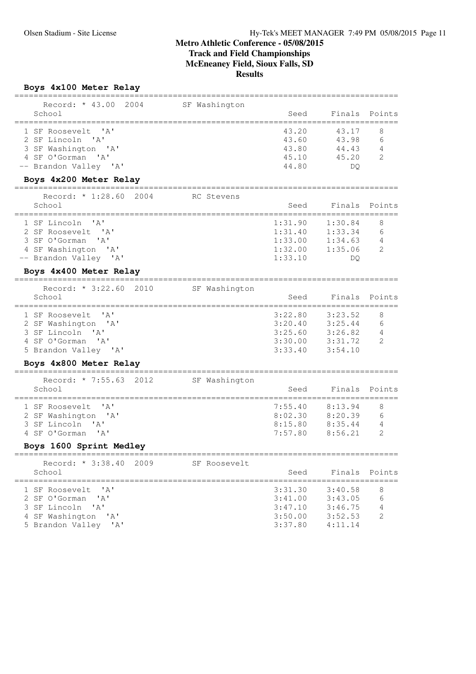**Boys 4x100 Meter Relay**

| Record: * 43.00<br>2004                        | SF Washington |         |         | Points         |
|------------------------------------------------|---------------|---------|---------|----------------|
| School                                         |               | Seed    | Finals  |                |
| 1 SF Roosevelt<br>' A '                        |               | 43.20   | 43.17   | 8              |
| 2 SF Lincoln 'A'                               |               | 43.60   | 43.98   | 6              |
| 3 SF Washington 'A'                            |               | 43.80   | 44.43   | 4              |
| 4 SF O'Gorman 'A'                              |               | 45.10   | 45.20   | $\mathcal{L}$  |
| -- Brandon Valley<br>$^{\prime}$ A $^{\prime}$ |               | 44.80   | DQ.     |                |
| Boys 4x200 Meter Relay                         |               |         |         |                |
| Record: * 1:28.60 2004                         | RC Stevens    |         |         |                |
| School                                         |               | Seed    | Finals  | Points         |
| 1 SF Lincoln<br>' A'                           |               | 1:31.90 | 1:30.84 | 8              |
| 2 SF Roosevelt 'A'                             |               | 1:31.40 | 1:33.34 | 6              |
| 3 SF O'Gorman<br>' A'                          |               | 1:33.00 | 1:34.63 | 4              |
| 4 SF Washington 'A'                            |               | 1:32.00 | 1:35.06 | 2              |
| -- Brandon Valley 'A'                          |               | 1:33.10 | DQ.     |                |
| Boys 4x400 Meter Relay                         |               |         |         |                |
| Record: * 3:22.60 2010                         | SF Washington |         |         |                |
| School                                         |               | Seed    | Finals  | Points         |
| 1 SF Roosevelt<br>' A'                         |               | 3:22.80 | 3:23.52 | 8              |
| 2 SF Washington 'A'                            |               | 3:20.40 | 3:25.44 | 6              |
| 3 SF Lincoln 'A'                               |               | 3:25.60 | 3:26.82 | 4              |
| 4 SF O'Gorman<br>$^{\prime}$ A $^{\prime}$     |               | 3:30.00 | 3:31.72 | $\mathfrak{D}$ |
| 5 Brandon Valley 'A'                           |               | 3:33.40 | 3:54.10 |                |
| Boys 4x800 Meter Relay                         |               |         |         |                |
| Record: * 7:55.63<br>2012                      | SF Washington |         |         |                |
| School                                         |               | Seed    | Finals  | Points         |
| 1 SF Roosevelt<br>' a '                        |               | 7:55.40 | 8:13.94 | 8              |
| 2 SF Washington 'A'                            |               | 8:02.30 | 8:20.39 | 6              |
| 3 SF Lincoln<br>' A'                           |               | 8:15.80 | 8:35.44 | 4              |
| 4 SF O'Gorman<br>' A '                         |               | 7:57.80 | 8:56.21 | $\mathfrak{D}$ |
| Boys 1600 Sprint Medley<br>=================   |               |         |         |                |
| Record: * 3:38.40<br>2009                      | SF Roosevelt  |         |         |                |
| School                                         |               | Seed    | Finals  | Points         |
| 1 SF Roosevelt<br>$^{\prime}$ A $^{\prime}$    |               | 3:31.30 | 3:40.58 | 8              |
| 2 SF O'Gorman<br>' A'                          |               | 3:41.00 | 3:43.05 | 6              |
| 3 SF Lincoln<br>' A'                           |               | 3:47.10 | 3:46.75 | 4              |
| 4 SF Washington<br>' A'                        |               | 3:50.00 | 3:52.53 | 2              |
| 5 Brandon Valley<br>'A'                        |               | 3:37.80 | 4:11.14 |                |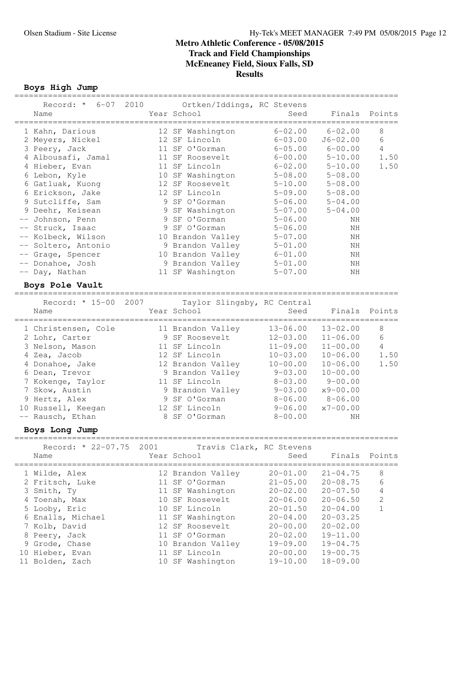================================================================================

# **Metro Athletic Conference - 05/08/2015 Track and Field Championships McEneaney Field, Sioux Falls, SD Results**

**Boys High Jump**

| Record: * 6-07 2010<br>Name                                                                                                                                                                                                                                                                                                                   |      | Ortken/Iddings, RC Stevens<br>Year School                                                                                                                                                                                                                                                                                   | Seed                                                                                                                                                                                                                                                        | Finals                                                                                                                                                                                        | Points                                   |
|-----------------------------------------------------------------------------------------------------------------------------------------------------------------------------------------------------------------------------------------------------------------------------------------------------------------------------------------------|------|-----------------------------------------------------------------------------------------------------------------------------------------------------------------------------------------------------------------------------------------------------------------------------------------------------------------------------|-------------------------------------------------------------------------------------------------------------------------------------------------------------------------------------------------------------------------------------------------------------|-----------------------------------------------------------------------------------------------------------------------------------------------------------------------------------------------|------------------------------------------|
| 1 Kahn, Darious<br>2 Meyers, Nickel<br>3 Peery, Jack<br>4 Albousafi, Jamal<br>4 Hieber, Evan<br>6 Lebon, Kyle<br>6 Gatluak, Kuong<br>6 Erickson, Jake<br>9 Sutcliffe, Sam<br>9 Deehr, Keisean<br>-- Johnson, Penn<br>-- Struck, Isaac<br>-- Kolbeck, Wilson<br>-- Soltero, Antonio<br>-- Grage, Spencer<br>-- Donahoe, Josh<br>-- Day, Nathan |      | 12 SF Washington<br>12 SF Lincoln<br>11 SF O'Gorman<br>11 SF Roosevelt<br>11 SF Lincoln<br>10 SF Washington<br>12 SF Roosevelt<br>12 SF Lincoln<br>9 SF O'Gorman<br>9 SF Washington<br>9 SF O'Gorman<br>9 SF O'Gorman<br>10 Brandon Valley<br>9 Brandon Valley<br>10 Brandon Valley<br>9 Brandon Valley<br>11 SF Washington | $6 - 02.00$<br>$6 - 03.00$<br>$6 - 05.00$<br>$6 - 00.00$<br>$6 - 02.00$<br>$5 - 08.00$<br>$5 - 10.00$<br>$5 - 09.00$<br>$5 - 06.00$<br>$5 - 07.00$<br>$5 - 06.00$<br>$5 - 06.00$<br>$5 - 07.00$<br>$5 - 01.00$<br>$6 - 01.00$<br>$5 - 01.00$<br>$5 - 07.00$ | $6 - 02.00$<br>$J6 - 02.00$<br>$6 - 00.00$<br>$5 - 10.00$<br>$5 - 10.00$<br>$5 - 08.00$<br>$5 - 08.00$<br>$5 - 08.00$<br>$5 - 04.00$<br>$5 - 04.00$<br>ΝH<br>ΝH<br>ΝH<br>ΝH<br>NH<br>ΝH<br>ΝH | 8<br>6<br>4<br>1.50<br>1.50              |
| Boys Pole Vault                                                                                                                                                                                                                                                                                                                               |      |                                                                                                                                                                                                                                                                                                                             |                                                                                                                                                                                                                                                             |                                                                                                                                                                                               |                                          |
| Record: * 15-00<br>Name                                                                                                                                                                                                                                                                                                                       | 2007 | Taylor Slingsby, RC Central<br>Year School                                                                                                                                                                                                                                                                                  | Seed                                                                                                                                                                                                                                                        | Finals                                                                                                                                                                                        | Points                                   |
| 1 Christensen, Cole<br>2 Lohr, Carter<br>3 Nelson, Mason<br>4 Zea, Jacob<br>4 Donahoe, Jake<br>6 Dean, Trevor<br>7 Kokenge, Taylor<br>7 Skow, Austin<br>9 Hertz, Alex<br>10 Russell, Keegan<br>-- Rausch, Ethan<br>Boys Long Jump                                                                                                             |      | 11 Brandon Valley<br>9 SF Roosevelt<br>11 SF Lincoln<br>12 SF Lincoln<br>12 Brandon Valley<br>9 Brandon Valley<br>11 SF Lincoln<br>9 Brandon Valley<br>9 SF O'Gorman<br>12 SF Lincoln<br>8 SF O'Gorman                                                                                                                      | $13 - 06.00$<br>$12 - 03.00$<br>$11 - 09.00$<br>$10 - 03.00$<br>$10 - 00.00$<br>$9 - 03.00$<br>$8 - 03.00$<br>$9 - 03.00$<br>$8 - 06.00$<br>$9 - 06.00$<br>$8 - 00.00$                                                                                      | $13 - 02.00$<br>$11 - 06.00$<br>$11 - 00.00$<br>$10 - 06.00$<br>$10 - 06.00$<br>$10 - 00.00$<br>$9 - 00.00$<br>$x9 - 00.00$<br>$8 - 06.00$<br>$x7 - 00.00$<br>ΝH                              | 8<br>6<br>$\overline{4}$<br>1.50<br>1.50 |
| Record: * 22-07.75<br>Name                                                                                                                                                                                                                                                                                                                    | 2001 | Travis Clark, RC Stevens<br>Year School Seed                                                                                                                                                                                                                                                                                |                                                                                                                                                                                                                                                             |                                                                                                                                                                                               | Finals Points                            |
| 1 Wilde, Alex<br>2 Fritsch, Luke<br>3 Smith, Ty<br>4 Toenah, Max<br>5 Looby, Eric<br>6 Enalls, Michael<br>7 Kolb, David<br>8 Peery, Jack<br>9 Grode, Chase<br>10 Hieber, Evan<br>11 Bolden, Zach                                                                                                                                              |      | 12 Brandon Valley<br>11 SF O'Gorman<br>11 SF Washington<br>10 SF Roosevelt<br>10 SF Lincoln<br>11 SF Washington<br>12 SF Roosevelt<br>11 SF O'Gorman<br>10 Brandon Valley<br>11 SF Lincoln<br>10 SF Washington                                                                                                              | $20 - 01.00$<br>$21 - 05.00$<br>$20 - 02.00$<br>$20 - 06.00$<br>$20 - 01.50$<br>$20 - 04.00$<br>$20 - 00.00$<br>$20 - 02.00$<br>$19 - 09.00$<br>$20 - 00.00$<br>$19 - 10.00$                                                                                | $21 - 04.75$<br>$20 - 08.75$<br>$20 - 07.50$<br>$20 - 06.50$<br>$20 - 04.00$<br>$20 - 03.25$<br>$20 - 02.00$<br>$19 - 11.00$<br>$19 - 04.75$<br>$19 - 00.75$<br>$18 - 09.00$                  | 8<br>6<br>4<br>$\mathbf{2}$<br>1         |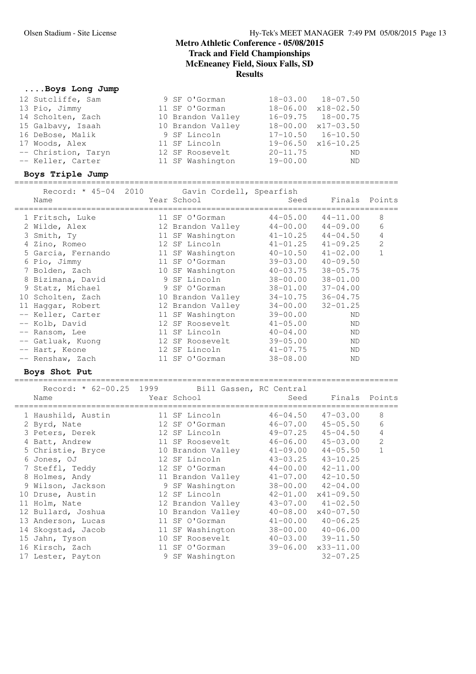# **....Boys Long Jump**

| 12 Sutcliffe, Sam   | 9 SF O'Gorman     | $18 - 03.00$ $18 - 07.50$      |
|---------------------|-------------------|--------------------------------|
| 13 Pio, Jimmy       | 11 SF O'Gorman    | $18 - 06.00 \times 18 - 02.50$ |
| 14 Scholten, Zach   | 10 Brandon Valley | $16 - 09.75$ $18 - 00.75$      |
| 15 Galbavy, Isaah   | 10 Brandon Valley | $18 - 00.00 \times 17 - 03.50$ |
| 16 DeBose, Malik    | 9 SF Lincoln      | $17-10.50$ $16-10.50$          |
| 17 Woods, Alex      | 11 SF Lincoln     | $19-06.50 \times 16-10.25$     |
| -- Christion, Taryn | 12 SF Roosevelt   | $20 - 11.75$<br>- ND           |
| -- Keller, Carter   | 11 SF Washington  | $19 - 00.00$<br>ND             |
|                     |                   |                                |

# **Boys Triple Jump**

| Name               | Record: * 45-04 2010 Gavin Cordell, Spearfish<br>Year School | Seed         | Finals Points |                |
|--------------------|--------------------------------------------------------------|--------------|---------------|----------------|
| 1 Fritsch, Luke    | 11 SF O'Gorman                                               | $44 - 05.00$ | $44 - 11.00$  | 8              |
| 2 Wilde, Alex      | 12 Brandon Valley                                            | $44 - 00.00$ | $44 - 09.00$  | 6              |
| 3 Smith, Ty        | 11 SF Washington                                             | $41 - 10.25$ | $44 - 04.50$  | 4              |
| 4 Zino, Romeo      | 12 SF Lincoln                                                | $41 - 01.25$ | $41 - 09.25$  | $\overline{2}$ |
| 5 Garcia, Fernando | 11 SF Washington                                             | $40 - 10.50$ | $41 - 02.00$  | 1              |
| 6 Pio, Jimmy       | 11 SF O'Gorman                                               | $39 - 03.00$ | $40 - 09.50$  |                |
| 7 Bolden, Zach     | 10 SF Washington                                             | $40 - 03.75$ | $38 - 05.75$  |                |
| 8 Bizimana, David  | 9 SF Lincoln                                                 | 38-00.00     | $38 - 01.00$  |                |
| 9 Statz, Michael   | 9 SF O'Gorman                                                | $38 - 01.00$ | $37 - 04.00$  |                |
| 10 Scholten, Zach  | 10 Brandon Valley                                            | $34 - 10.75$ | $36 - 04.75$  |                |
| 11 Haqqar, Robert  | 12 Brandon Valley                                            | $34 - 00.00$ | $32 - 01.25$  |                |
| -- Keller, Carter  | 11 SF Washington                                             | $39 - 00.00$ | ND            |                |
| -- Kolb, David     | 12 SF Roosevelt                                              | $41 - 05.00$ | <b>ND</b>     |                |
| -- Ransom, Lee     | 11 SF Lincoln                                                | $40 - 04.00$ | ND            |                |
| -- Gatluak, Kuong  | 12 SF Roosevelt                                              | $39 - 05.00$ | ND            |                |
| -- Hart, Keone     | 12 SF Lincoln                                                | $41 - 07.75$ | ND            |                |
| -- Renshaw, Zach   | 11 SF O'Gorman                                               | $38 - 08.00$ | ND            |                |
|                    |                                                              |              |               |                |

## **Boys Shot Put**

| Record: * 62-00.25 1999 Bill Gassen, RC Central<br>Name | Year School       | Seed         | Finals Points              |                |
|---------------------------------------------------------|-------------------|--------------|----------------------------|----------------|
| 1 Haushild, Austin                                      | 11 SF Lincoln     | $46 - 04.50$ | $47 - 03.00$               | 8              |
| 2 Byrd, Nate                                            | 12 SF O'Gorman    | $46 - 07.00$ | $45 - 05.50$               | 6              |
| 3 Peters, Derek                                         | 12 SF Lincoln     | $49 - 07.25$ | $45 - 04.50$               | $\sqrt{4}$     |
| 4 Batt, Andrew                                          | 11 SF Roosevelt   | $46 - 06.00$ | $45 - 03.00$               | $\overline{c}$ |
| 5 Christie, Bryce                                       | 10 Brandon Valley | $41 - 09.00$ | $44 - 05.50$               | $\mathbf{1}$   |
| 6 Jones, OJ                                             | 12 SF Lincoln     | 43-03.25     | $43 - 10.25$               |                |
| 7 Steffl, Teddy                                         | 12 SF O'Gorman    | $44 - 00.00$ | $42 - 11.00$               |                |
| 8 Holmes, Andy                                          | 11 Brandon Valley | $41 - 07.00$ | $42 - 10.50$               |                |
| 9 Wilson, Jackson                                       | 9 SF Washington   | 38-00.00     | $42 - 04.00$               |                |
| 10 Druse, Austin                                        | 12 SF Lincoln     | $42 - 01.00$ | $x41 - 09.50$              |                |
| 11 Holm, Nate                                           | 12 Brandon Valley |              | $43 - 07.00$ $41 - 02.50$  |                |
| 12 Bullard, Joshua                                      | 10 Brandon Valley | $40 - 08.00$ | $x40 - 07.50$              |                |
| 13 Anderson, Lucas                                      | 11 SF O'Gorman    | $41 - 00.00$ | $40 - 06.25$               |                |
| 14 Skogstad, Jacob                                      | 11 SF Washington  | 38-00.00     | $40 - 06.00$               |                |
| 15 Jahn, Tyson                                          | 10 SF Roosevelt   |              | $40 - 03.00$ $39 - 11.50$  |                |
| 16 Kirsch, Zach                                         | 11 SF O'Gorman    |              | $39 - 06.00$ $x33 - 11.00$ |                |
| 17 Lester, Payton                                       | 9 SF Washington   |              | $32 - 07.25$               |                |